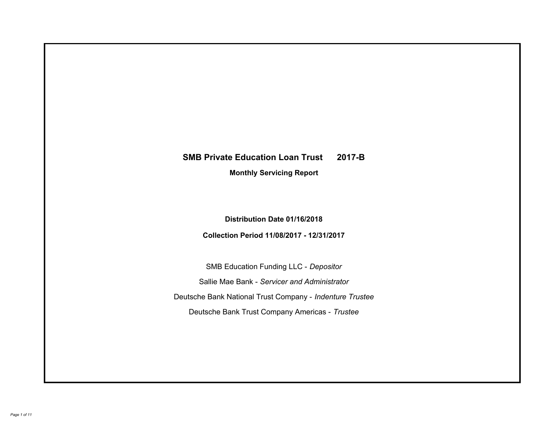# **SMB Private Education Loan Trust 2017-B Monthly Servicing Report**

# **Distribution Date 01/16/2018**

# **Collection Period 11/08/2017 - 12/31/2017**

SMB Education Funding LLC - *Depositor* Sallie Mae Bank - *Servicer and Administrator* Deutsche Bank National Trust Company - *Indenture Trustee* Deutsche Bank Trust Company Americas - *Trustee*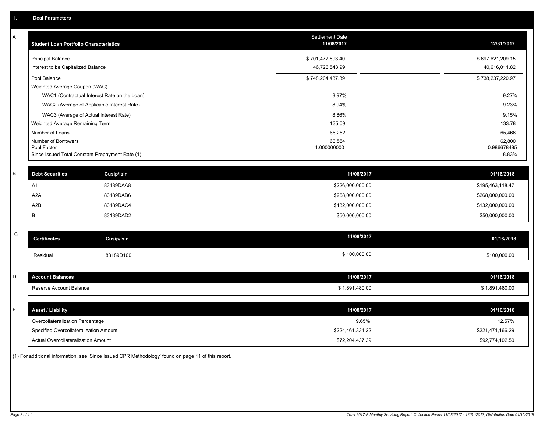| A         | <b>Student Loan Portfolio Characteristics</b>                  |                   | <b>Settlement Date</b><br>11/08/2017 | 12/31/2017           |
|-----------|----------------------------------------------------------------|-------------------|--------------------------------------|----------------------|
|           | <b>Principal Balance</b>                                       |                   | \$701,477,893.40                     | \$697,621,209.15     |
|           | Interest to be Capitalized Balance                             |                   | 46,726,543.99                        | 40,616,011.82        |
|           | Pool Balance                                                   |                   | \$748,204,437.39                     | \$738,237,220.97     |
|           | Weighted Average Coupon (WAC)                                  |                   |                                      |                      |
|           | WAC1 (Contractual Interest Rate on the Loan)                   |                   | 8.97%                                | 9.27%                |
|           | WAC2 (Average of Applicable Interest Rate)                     |                   | 8.94%                                | 9.23%                |
|           | WAC3 (Average of Actual Interest Rate)                         |                   | 8.86%                                | 9.15%                |
|           | Weighted Average Remaining Term                                |                   | 135.09                               | 133.78               |
|           | Number of Loans                                                |                   | 66,252                               | 65,466               |
|           | Number of Borrowers                                            |                   | 63,554                               | 62,800               |
|           | Pool Factor<br>Since Issued Total Constant Prepayment Rate (1) |                   | 1.000000000                          | 0.986678485<br>8.83% |
|           |                                                                |                   |                                      |                      |
| B         | <b>Debt Securities</b>                                         | <b>Cusip/Isin</b> | 11/08/2017                           | 01/16/2018           |
|           | A1                                                             | 83189DAA8         | \$226,000,000.00                     | \$195,463,118.47     |
|           | A <sub>2</sub> A                                               | 83189DAB6         | \$268,000,000.00                     | \$268,000,000.00     |
|           | A2B                                                            | 83189DAC4         | \$132,000,000.00                     | \$132,000,000.00     |
|           | B                                                              | 83189DAD2         | \$50,000,000.00                      | \$50,000,000.00      |
|           |                                                                |                   |                                      |                      |
| ${\bf C}$ | <b>Certificates</b>                                            | <b>Cusip/Isin</b> | 11/08/2017                           | 01/16/2018           |
|           | Residual                                                       | 83189D100         | \$100,000.00                         | \$100,000.00         |
|           |                                                                |                   |                                      |                      |
| D         | <b>Account Balances</b>                                        |                   | 11/08/2017                           | 01/16/2018           |
|           | Reserve Account Balance                                        |                   | \$1,891,480.00                       | \$1,891,480.00       |
|           |                                                                |                   |                                      |                      |
| E         | <b>Asset / Liability</b>                                       |                   | 11/08/2017                           | 01/16/2018           |
|           | Overcollateralization Percentage                               |                   | 9.65%                                | 12.57%               |
|           | Specified Overcollateralization Amount                         |                   | \$224,461,331.22                     | \$221,471,166.29     |
|           | Actual Overcollateralization Amount                            |                   | \$72,204,437.39                      | \$92,774,102.50      |

(1) For additional information, see 'Since Issued CPR Methodology' found on page 11 of this report.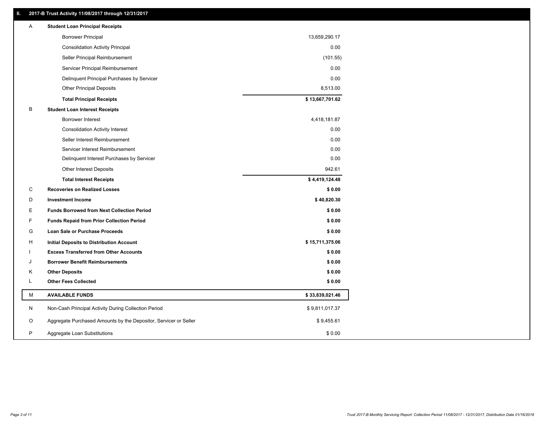### **II. 2017-B Trust Activity 11/08/2017 through 12/31/2017**

| Α | <b>Student Loan Principal Receipts</b>                           |                 |  |
|---|------------------------------------------------------------------|-----------------|--|
|   | <b>Borrower Principal</b>                                        | 13,659,290.17   |  |
|   | <b>Consolidation Activity Principal</b>                          | 0.00            |  |
|   | Seller Principal Reimbursement                                   | (101.55)        |  |
|   | Servicer Principal Reimbursement                                 | 0.00            |  |
|   | Delinquent Principal Purchases by Servicer                       | 0.00            |  |
|   | <b>Other Principal Deposits</b>                                  | 8,513.00        |  |
|   | <b>Total Principal Receipts</b>                                  | \$13,667,701.62 |  |
| в | <b>Student Loan Interest Receipts</b>                            |                 |  |
|   | Borrower Interest                                                | 4,418,181.87    |  |
|   | <b>Consolidation Activity Interest</b>                           | 0.00            |  |
|   | Seller Interest Reimbursement                                    | 0.00            |  |
|   | Servicer Interest Reimbursement                                  | 0.00            |  |
|   | Delinquent Interest Purchases by Servicer                        | 0.00            |  |
|   | <b>Other Interest Deposits</b>                                   | 942.61          |  |
|   | <b>Total Interest Receipts</b>                                   | \$4,419,124.48  |  |
| C | <b>Recoveries on Realized Losses</b>                             | \$0.00          |  |
| D | <b>Investment Income</b>                                         | \$40,820.30     |  |
| Е | <b>Funds Borrowed from Next Collection Period</b>                | \$0.00          |  |
| F | <b>Funds Repaid from Prior Collection Period</b>                 | \$0.00          |  |
| G | Loan Sale or Purchase Proceeds                                   | \$0.00          |  |
| н | Initial Deposits to Distribution Account                         | \$15,711,375.06 |  |
|   | <b>Excess Transferred from Other Accounts</b>                    | \$0.00          |  |
| J | <b>Borrower Benefit Reimbursements</b>                           | \$0.00          |  |
| Κ | <b>Other Deposits</b>                                            | \$0.00          |  |
| Г | <b>Other Fees Collected</b>                                      | \$0.00          |  |
| м | <b>AVAILABLE FUNDS</b>                                           | \$33,839,021.46 |  |
| N | Non-Cash Principal Activity During Collection Period             | \$9,811,017.37  |  |
| O | Aggregate Purchased Amounts by the Depositor, Servicer or Seller | \$9,455.61      |  |
| P | Aggregate Loan Substitutions                                     | \$0.00          |  |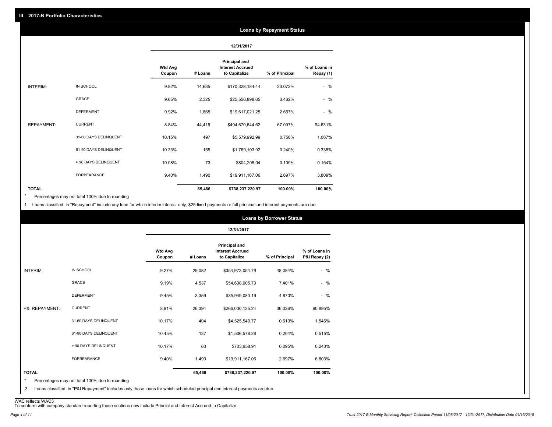#### **Loans by Repayment Status**

|                   |                       |                          |         | 12/31/2017                                                       |                |                            |
|-------------------|-----------------------|--------------------------|---------|------------------------------------------------------------------|----------------|----------------------------|
|                   |                       | <b>Wtd Avg</b><br>Coupon | # Loans | <b>Principal and</b><br><b>Interest Accrued</b><br>to Capitalize | % of Principal | % of Loans in<br>Repay (1) |
| INTERIM:          | IN SCHOOL             | 9.82%                    | 14,635  | \$170,328,184.44                                                 | 23.072%        | $-$ %                      |
|                   | <b>GRACE</b>          | 9.65%                    | 2,325   | \$25,556,898.65                                                  | 3.462%         | $-$ %                      |
|                   | <b>DEFERMENT</b>      | 9.92%                    | 1,865   | \$19,617,021.25                                                  | 2.657%         | $-$ %                      |
| <b>REPAYMENT:</b> | <b>CURRENT</b>        | 8.84%                    | 44,416  | \$494,670,644.62                                                 | 67.007%        | 94.631%                    |
|                   | 31-60 DAYS DELINQUENT | 10.15%                   | 497     | \$5,579,992.99                                                   | 0.756%         | 1.067%                     |
|                   | 61-90 DAYS DELINQUENT | 10.33%                   | 165     | \$1,769,103.92                                                   | 0.240%         | 0.338%                     |
|                   | > 90 DAYS DELINQUENT  | 10.08%                   | 73      | \$804,208.04                                                     | 0.109%         | 0.154%                     |
|                   | <b>FORBEARANCE</b>    | 9.40%                    | 1,490   | \$19,911,167.06                                                  | 2.697%         | 3.809%                     |
| <b>TOTAL</b>      |                       |                          | 65,466  | \$738,237,220.97                                                 | 100.00%        | 100.00%                    |

Percentages may not total 100% due to rounding \*

1 Loans classified in "Repayment" include any loan for which interim interest only, \$25 fixed payments or full principal and interest payments are due.

|                 |                       |                          |         | 12/31/2017                                                       |                |                                |
|-----------------|-----------------------|--------------------------|---------|------------------------------------------------------------------|----------------|--------------------------------|
|                 |                       | <b>Wtd Avg</b><br>Coupon | # Loans | <b>Principal and</b><br><b>Interest Accrued</b><br>to Capitalize | % of Principal | % of Loans in<br>P&I Repay (2) |
| <b>INTERIM:</b> | IN SCHOOL             | 9.27%                    | 29,082  | \$354,973,054.79                                                 | 48.084%        | $-$ %                          |
|                 | <b>GRACE</b>          | 9.19%                    | 4,537   | \$54,638,005.73                                                  | 7.401%         | $-$ %                          |
|                 | <b>DEFERMENT</b>      | 9.45%                    | 3,359   | \$35,949,080.19                                                  | 4.870%         | $-$ %                          |
| P&I REPAYMENT:  | <b>CURRENT</b>        | 8.91%                    | 26,394  | \$266,030,135.24                                                 | 36.036%        | 90.895%                        |
|                 | 31-60 DAYS DELINQUENT | 10.17%                   | 404     | \$4,525,540.77                                                   | 0.613%         | 1.546%                         |
|                 | 61-90 DAYS DELINQUENT | 10.45%                   | 137     | \$1,506,578.28                                                   | 0.204%         | 0.515%                         |
|                 | > 90 DAYS DELINQUENT  | 10.17%                   | 63      | \$703,658.91                                                     | 0.095%         | 0.240%                         |
|                 | <b>FORBEARANCE</b>    | 9.40%                    | 1,490   | \$19,911,167.06                                                  | 2.697%         | 6.803%                         |
| <b>TOTAL</b>    |                       |                          | 65,466  | \$738,237,220.97                                                 | 100.00%        | 100.00%                        |

<sup>2</sup> Loans classified in "P&I Repayment" includes only those loans for which scheduled principal and interest payments are due.

WAC reflects WAC3 To conform with company standard reporting these sections now include Princial and Interest Accrued to Capitalize.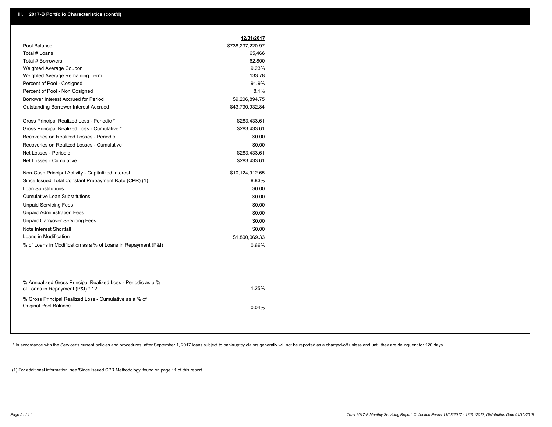|                                                                                                  | 12/31/2017       |  |
|--------------------------------------------------------------------------------------------------|------------------|--|
| Pool Balance                                                                                     | \$738,237,220.97 |  |
| Total # Loans                                                                                    | 65,466           |  |
| Total # Borrowers                                                                                | 62,800           |  |
| Weighted Average Coupon                                                                          | 9.23%            |  |
| Weighted Average Remaining Term                                                                  | 133.78           |  |
| Percent of Pool - Cosigned                                                                       | 91.9%            |  |
| Percent of Pool - Non Cosigned                                                                   | 8.1%             |  |
| Borrower Interest Accrued for Period                                                             | \$9,206,894.75   |  |
| <b>Outstanding Borrower Interest Accrued</b>                                                     | \$43,730,932.84  |  |
| Gross Principal Realized Loss - Periodic *                                                       | \$283,433.61     |  |
| Gross Principal Realized Loss - Cumulative *                                                     | \$283,433.61     |  |
| Recoveries on Realized Losses - Periodic                                                         | \$0.00           |  |
| Recoveries on Realized Losses - Cumulative                                                       | \$0.00           |  |
| Net Losses - Periodic                                                                            | \$283,433.61     |  |
| Net Losses - Cumulative                                                                          | \$283,433.61     |  |
| Non-Cash Principal Activity - Capitalized Interest                                               | \$10,124,912.65  |  |
| Since Issued Total Constant Prepayment Rate (CPR) (1)                                            | 8.83%            |  |
| Loan Substitutions                                                                               | \$0.00           |  |
| <b>Cumulative Loan Substitutions</b>                                                             | \$0.00           |  |
| <b>Unpaid Servicing Fees</b>                                                                     | \$0.00           |  |
| <b>Unpaid Administration Fees</b>                                                                | \$0.00           |  |
| <b>Unpaid Carryover Servicing Fees</b>                                                           | \$0.00           |  |
| Note Interest Shortfall                                                                          | \$0.00           |  |
| Loans in Modification                                                                            | \$1,800,069.33   |  |
| % of Loans in Modification as a % of Loans in Repayment (P&I)                                    | 0.66%            |  |
|                                                                                                  |                  |  |
| % Annualized Gross Principal Realized Loss - Periodic as a %<br>of Loans in Repayment (P&I) * 12 | 1.25%            |  |

% Gross Principal Realized Loss - Cumulative as a % of Original Pool Balance 0.04%

\* In accordance with the Servicer's current policies and procedures, after September 1, 2017 loans subject to bankruptcy claims generally will not be reported as a charged-off unless and until they are delinquent for 120 d

(1) For additional information, see 'Since Issued CPR Methodology' found on page 11 of this report.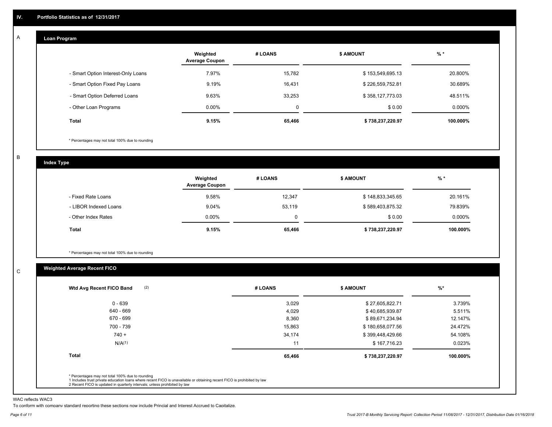#### **Loan Program**  A

|                                    | Weighted<br><b>Average Coupon</b> | # LOANS  | <b>\$ AMOUNT</b> | $%$ *     |
|------------------------------------|-----------------------------------|----------|------------------|-----------|
| - Smart Option Interest-Only Loans | 7.97%                             | 15,782   | \$153,549,695.13 | 20.800%   |
| - Smart Option Fixed Pay Loans     | 9.19%                             | 16,431   | \$226,559,752.81 | 30.689%   |
| - Smart Option Deferred Loans      | 9.63%                             | 33.253   | \$358,127,773.03 | 48.511%   |
| - Other Loan Programs              | $0.00\%$                          | $\Omega$ | \$0.00           | $0.000\%$ |
| <b>Total</b>                       | 9.15%                             | 65,466   | \$738,237,220.97 | 100.000%  |

\* Percentages may not total 100% due to rounding

B

C

**Index Type**

|                       | Weighted<br><b>Average Coupon</b> | # LOANS | <b>\$ AMOUNT</b> | $%$ *     |
|-----------------------|-----------------------------------|---------|------------------|-----------|
| - Fixed Rate Loans    | 9.58%                             | 12,347  | \$148,833,345.65 | 20.161%   |
| - LIBOR Indexed Loans | 9.04%                             | 53,119  | \$589,403,875.32 | 79.839%   |
| - Other Index Rates   | $0.00\%$                          |         | \$0.00           | $0.000\%$ |
| Total                 | 9.15%                             | 65,466  | \$738,237,220.97 | 100.000%  |

\* Percentages may not total 100% due to rounding

### **Weighted Average Recent FICO**

| (2)<br>Wtd Avg Recent FICO Band                                                                                                                                                                                                                          | # LOANS | <b>\$ AMOUNT</b> | $\frac{9}{6}$ * |
|----------------------------------------------------------------------------------------------------------------------------------------------------------------------------------------------------------------------------------------------------------|---------|------------------|-----------------|
| $0 - 639$                                                                                                                                                                                                                                                | 3,029   | \$27,605,822.71  | 3.739%          |
| 640 - 669                                                                                                                                                                                                                                                | 4,029   | \$40,685,939.87  | 5.511%          |
| 670 - 699                                                                                                                                                                                                                                                | 8,360   | \$89,671,234.94  | 12.147%         |
| 700 - 739                                                                                                                                                                                                                                                | 15,863  | \$180,658,077.56 | 24.472%         |
| $740 +$                                                                                                                                                                                                                                                  | 34,174  | \$399,448,429.66 | 54.108%         |
| N/A <sup>(1)</sup>                                                                                                                                                                                                                                       | 11      | \$167,716.23     | 0.023%          |
| <b>Total</b>                                                                                                                                                                                                                                             | 65,466  | \$738,237,220.97 | 100.000%        |
| * Percentages may not total 100% due to rounding<br>1 Includes trust private education loans where recent FICO is unavailable or obtaining recent FICO is prohibited by law<br>2 Recent FICO is updated in quarterly intervals; unless prohibited by law |         |                  |                 |

WAC reflects WAC3

To conform with company standard reporting these sections now include Princial and Interest Accrued to Capitalize.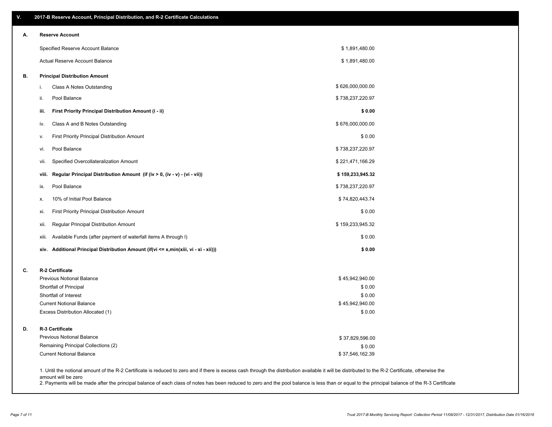| ۷. | 2017-B Reserve Account, Principal Distribution, and R-2 Certificate Calculations     |                                                                                                                                                                                                    |  |
|----|--------------------------------------------------------------------------------------|----------------------------------------------------------------------------------------------------------------------------------------------------------------------------------------------------|--|
| А. | <b>Reserve Account</b>                                                               |                                                                                                                                                                                                    |  |
|    | Specified Reserve Account Balance                                                    | \$1,891,480.00                                                                                                                                                                                     |  |
|    | <b>Actual Reserve Account Balance</b>                                                | \$1,891,480.00                                                                                                                                                                                     |  |
| В. | <b>Principal Distribution Amount</b>                                                 |                                                                                                                                                                                                    |  |
|    | Class A Notes Outstanding<br>i.                                                      | \$626,000,000.00                                                                                                                                                                                   |  |
|    | Pool Balance<br>ii.                                                                  | \$738,237,220.97                                                                                                                                                                                   |  |
|    | First Priority Principal Distribution Amount (i - ii)<br>iii.                        | \$0.00                                                                                                                                                                                             |  |
|    | Class A and B Notes Outstanding<br>iv.                                               | \$676,000,000.00                                                                                                                                                                                   |  |
|    | First Priority Principal Distribution Amount<br>v.                                   | \$0.00                                                                                                                                                                                             |  |
|    | Pool Balance<br>vi.                                                                  | \$738,237,220.97                                                                                                                                                                                   |  |
|    | Specified Overcollateralization Amount<br>vii.                                       | \$221,471,166.29                                                                                                                                                                                   |  |
|    | Regular Principal Distribution Amount (if (iv > 0, (iv - v) - (vi - vii))<br>viii.   | \$159,233,945.32                                                                                                                                                                                   |  |
|    | Pool Balance<br>ix.                                                                  | \$738,237,220.97                                                                                                                                                                                   |  |
|    | 10% of Initial Pool Balance<br>х.                                                    | \$74,820,443.74                                                                                                                                                                                    |  |
|    | First Priority Principal Distribution Amount<br>xi.                                  | \$0.00                                                                                                                                                                                             |  |
|    | Regular Principal Distribution Amount<br>xii.                                        | \$159,233,945.32                                                                                                                                                                                   |  |
|    | Available Funds (after payment of waterfall items A through I)<br>xiii.              | \$0.00                                                                                                                                                                                             |  |
|    | xiv. Additional Principal Distribution Amount (if(vi <= x,min(xiii, vi - xi - xii))) | \$0.00                                                                                                                                                                                             |  |
| C. | R-2 Certificate                                                                      |                                                                                                                                                                                                    |  |
|    | <b>Previous Notional Balance</b>                                                     | \$45,942,940.00                                                                                                                                                                                    |  |
|    | Shortfall of Principal                                                               | \$0.00                                                                                                                                                                                             |  |
|    | Shortfall of Interest                                                                | \$0.00                                                                                                                                                                                             |  |
|    | <b>Current Notional Balance</b>                                                      | \$45,942,940.00                                                                                                                                                                                    |  |
|    | Excess Distribution Allocated (1)                                                    | \$0.00                                                                                                                                                                                             |  |
| D. | R-3 Certificate                                                                      |                                                                                                                                                                                                    |  |
|    | <b>Previous Notional Balance</b>                                                     | \$37,829,596.00                                                                                                                                                                                    |  |
|    | Remaining Principal Collections (2)                                                  | \$0.00                                                                                                                                                                                             |  |
|    | <b>Current Notional Balance</b>                                                      | \$37,546,162.39                                                                                                                                                                                    |  |
|    | amount will be zero                                                                  | 1. Until the notional amount of the R-2 Certificate is reduced to zero and if there is excess cash through the distribution available it will be distributed to the R-2 Certificate, otherwise the |  |

2. Payments will be made after the principal balance of each class of notes has been reduced to zero and the pool balance is less than or equal to the principal balance of the R-3 Certificate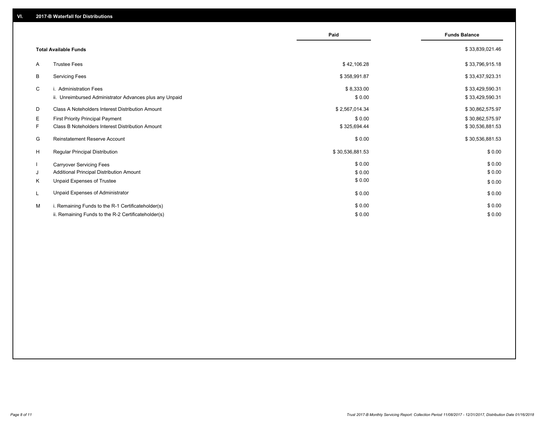|    |                                                         | Paid            | <b>Funds Balance</b> |
|----|---------------------------------------------------------|-----------------|----------------------|
|    | <b>Total Available Funds</b>                            |                 | \$33,839,021.46      |
| A  | <b>Trustee Fees</b>                                     | \$42,106.28     | \$33,796,915.18      |
| В  | <b>Servicing Fees</b>                                   | \$358,991.87    | \$33,437,923.31      |
| C  | i. Administration Fees                                  | \$8,333.00      | \$33,429,590.31      |
|    | ii. Unreimbursed Administrator Advances plus any Unpaid | \$0.00          | \$33,429,590.31      |
| D  | Class A Noteholders Interest Distribution Amount        | \$2,567,014.34  | \$30,862,575.97      |
| Е  | <b>First Priority Principal Payment</b>                 | \$0.00          | \$30,862,575.97      |
| F. | Class B Noteholders Interest Distribution Amount        | \$325,694.44    | \$30,536,881.53      |
| G  | Reinstatement Reserve Account                           | \$0.00          | \$30,536,881.53      |
| H  | Regular Principal Distribution                          | \$30,536,881.53 | \$0.00               |
|    | <b>Carryover Servicing Fees</b>                         | \$0.00          | \$0.00               |
| J  | Additional Principal Distribution Amount                | \$0.00          | \$0.00               |
| Κ  | Unpaid Expenses of Trustee                              | \$0.00          | \$0.00               |
| L  | Unpaid Expenses of Administrator                        | \$0.00          | \$0.00               |
| M  | i. Remaining Funds to the R-1 Certificateholder(s)      | \$0.00          | \$0.00               |
|    | ii. Remaining Funds to the R-2 Certificateholder(s)     | \$0.00          | \$0.00               |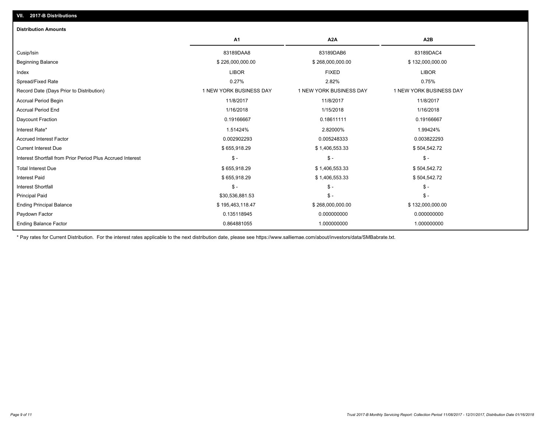| <b>Distribution Amounts</b>                                |                         |                         |                         |
|------------------------------------------------------------|-------------------------|-------------------------|-------------------------|
|                                                            | A1                      | A <sub>2</sub> A        | A <sub>2</sub> B        |
| Cusip/Isin                                                 | 83189DAA8               | 83189DAB6               | 83189DAC4               |
| <b>Beginning Balance</b>                                   | \$226,000,000.00        | \$268,000,000.00        | \$132,000,000.00        |
| Index                                                      | <b>LIBOR</b>            | <b>FIXED</b>            | <b>LIBOR</b>            |
| Spread/Fixed Rate                                          | 0.27%                   | 2.82%                   | 0.75%                   |
| Record Date (Days Prior to Distribution)                   | 1 NEW YORK BUSINESS DAY | 1 NEW YORK BUSINESS DAY | 1 NEW YORK BUSINESS DAY |
| <b>Accrual Period Begin</b>                                | 11/8/2017               | 11/8/2017               | 11/8/2017               |
| <b>Accrual Period End</b>                                  | 1/16/2018               | 1/15/2018               | 1/16/2018               |
| Daycount Fraction                                          | 0.19166667              | 0.18611111              | 0.19166667              |
| Interest Rate*                                             | 1.51424%                | 2.82000%                | 1.99424%                |
| <b>Accrued Interest Factor</b>                             | 0.002902293             | 0.005248333             | 0.003822293             |
| <b>Current Interest Due</b>                                | \$655,918.29            | \$1,406,553.33          | \$504,542.72            |
| Interest Shortfall from Prior Period Plus Accrued Interest | $S -$                   | $\mathsf{\$}$ -         | $S -$                   |
| <b>Total Interest Due</b>                                  | \$655,918.29            | \$1,406,553.33          | \$504,542.72            |
| <b>Interest Paid</b>                                       | \$655,918.29            | \$1,406,553.33          | \$504,542.72            |
| <b>Interest Shortfall</b>                                  | $S -$                   | $\mathsf{\$}$ -         | $S -$                   |
| <b>Principal Paid</b>                                      | \$30,536,881.53         | $S -$                   | $S -$                   |
| <b>Ending Principal Balance</b>                            | \$195,463,118.47        | \$268,000,000.00        | \$132,000,000.00        |
| Paydown Factor                                             | 0.135118945             | 0.000000000             | 0.000000000             |
| <b>Ending Balance Factor</b>                               | 0.864881055             | 1.000000000             | 1.000000000             |

\* Pay rates for Current Distribution. For the interest rates applicable to the next distribution date, please see https://www.salliemae.com/about/investors/data/SMBabrate.txt.

**VII. 2017-B Distributions**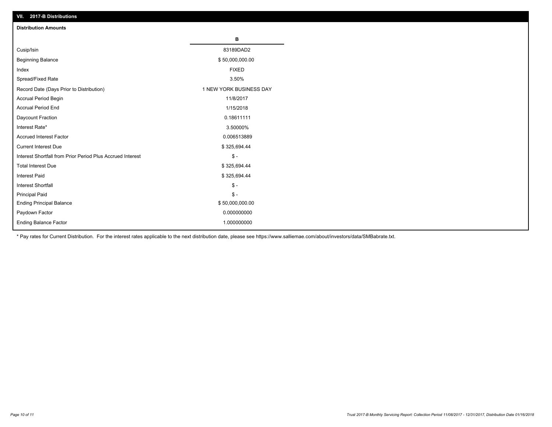| VII. 2017-B Distributions                                  |                         |
|------------------------------------------------------------|-------------------------|
| <b>Distribution Amounts</b>                                |                         |
|                                                            | в                       |
| Cusip/Isin                                                 | 83189DAD2               |
| <b>Beginning Balance</b>                                   | \$50,000,000.00         |
| Index                                                      | <b>FIXED</b>            |
| Spread/Fixed Rate                                          | 3.50%                   |
| Record Date (Days Prior to Distribution)                   | 1 NEW YORK BUSINESS DAY |
| Accrual Period Begin                                       | 11/8/2017               |
| <b>Accrual Period End</b>                                  | 1/15/2018               |
| Daycount Fraction                                          | 0.18611111              |
| Interest Rate*                                             | 3.50000%                |
| <b>Accrued Interest Factor</b>                             | 0.006513889             |
| <b>Current Interest Due</b>                                | \$325,694.44            |
| Interest Shortfall from Prior Period Plus Accrued Interest | $\frac{2}{3}$ -         |
| <b>Total Interest Due</b>                                  | \$325,694.44            |
| <b>Interest Paid</b>                                       | \$325,694.44            |
| <b>Interest Shortfall</b>                                  | $\mathbb{S}$ -          |
| Principal Paid                                             | $\mathbb S$ -           |
| <b>Ending Principal Balance</b>                            | \$50,000,000.00         |
| Paydown Factor                                             | 0.000000000             |
| Ending Balance Factor                                      | 1.000000000             |

\* Pay rates for Current Distribution. For the interest rates applicable to the next distribution date, please see https://www.salliemae.com/about/investors/data/SMBabrate.txt.